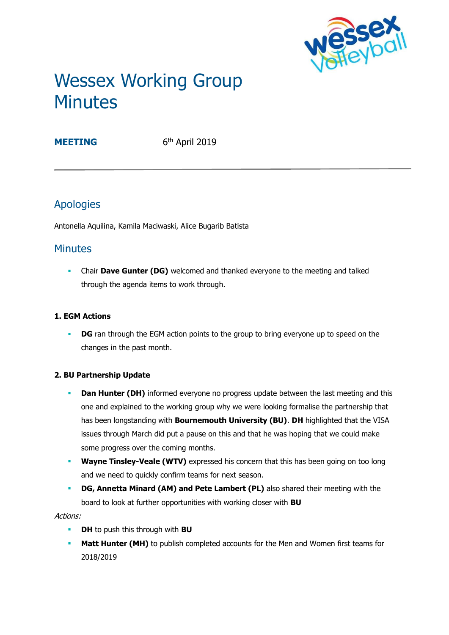

# Wessex Working Group **Minutes**

**MEETING** 

6<sup>th</sup> April 2019

# Apologies

Antonella Aquilina, Kamila Maciwaski, Alice Bugarib Batista

## **Minutes**

**• Chair Dave Gunter (DG)** welcomed and thanked everyone to the meeting and talked through the agenda items to work through.

## **1. EGM Actions**

**• DG** ran through the EGM action points to the group to bring everyone up to speed on the changes in the past month.

## **2. BU Partnership Update**

- **Dan Hunter (DH)** informed everyone no progress update between the last meeting and this one and explained to the working group why we were looking formalise the partnership that has been longstanding with **Bournemouth University (BU)**. **DH** highlighted that the VISA issues through March did put a pause on this and that he was hoping that we could make some progress over the coming months.
- **Wayne Tinsley-Veale (WTV)** expressed his concern that this has been going on too long and we need to quickly confirm teams for next season.
- **DG, Annetta Minard (AM) and Pete Lambert (PL)** also shared their meeting with the board to look at further opportunities with working closer with **BU**

Actions:

- **DH** to push this through with **BU**
- **Matt Hunter (MH)** to publish completed accounts for the Men and Women first teams for 2018/2019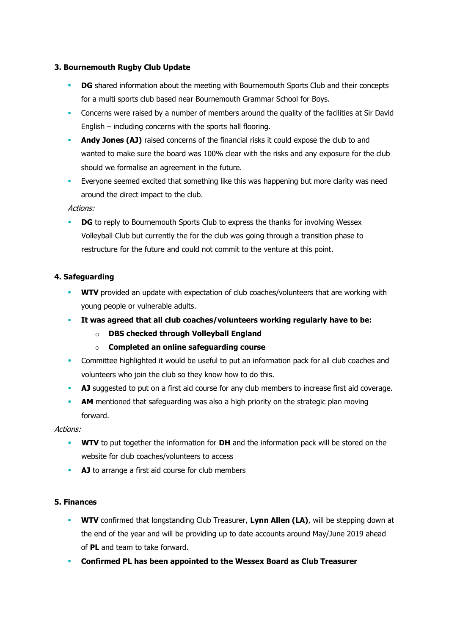#### **3. Bournemouth Rugby Club Update**

- **DG** shared information about the meeting with Bournemouth Sports Club and their concepts for a multi sports club based near Bournemouth Grammar School for Boys.
- Concerns were raised by a number of members around the quality of the facilities at Sir David English – including concerns with the sports hall flooring.
- **Andy Jones (AJ)** raised concerns of the financial risks it could expose the club to and wanted to make sure the board was 100% clear with the risks and any exposure for the club should we formalise an agreement in the future.
- Everyone seemed excited that something like this was happening but more clarity was need around the direct impact to the club.

Actions:

**DG** to reply to Bournemouth Sports Club to express the thanks for involving Wessex Volleyball Club but currently the for the club was going through a transition phase to restructure for the future and could not commit to the venture at this point.

#### **4. Safeguarding**

- **WTV** provided an update with expectation of club coaches/volunteers that are working with young people or vulnerable adults.
- **It was agreed that all club coaches/volunteers working regularly have to be:**
	- o **DBS checked through Volleyball England**
	- o **Completed an online safeguarding course**
- **•** Committee highlighted it would be useful to put an information pack for all club coaches and volunteers who join the club so they know how to do this.
- **AJ** suggested to put on a first aid course for any club members to increase first aid coverage.
- **AM** mentioned that safeguarding was also a high priority on the strategic plan moving forward.

Actions:

- **WTV** to put together the information for **DH** and the information pack will be stored on the website for club coaches/volunteers to access
- **AJ** to arrange a first aid course for club members

#### **5. Finances**

- **WTV** confirmed that longstanding Club Treasurer, **Lynn Allen (LA)**, will be stepping down at the end of the year and will be providing up to date accounts around May/June 2019 ahead of **PL** and team to take forward.
- **Confirmed PL has been appointed to the Wessex Board as Club Treasurer**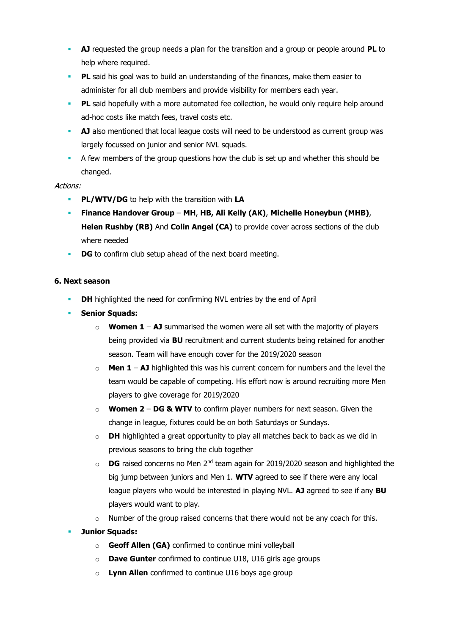- **AJ** requested the group needs a plan for the transition and a group or people around **PL** to help where required.
- **PL** said his goal was to build an understanding of the finances, make them easier to administer for all club members and provide visibility for members each year.
- **PL** said hopefully with a more automated fee collection, he would only require help around ad-hoc costs like match fees, travel costs etc.
- **AJ** also mentioned that local league costs will need to be understood as current group was largely focussed on junior and senior NVL squads.
- A few members of the group questions how the club is set up and whether this should be changed.

#### Actions:

- **PL/WTV/DG** to help with the transition with **LA**
- **Finance Handover Group MH**, **HB, Ali Kelly (AK)**, **Michelle Honeybun (MHB)**, **Helen Rushby (RB)** And **Colin Angel (CA)** to provide cover across sections of the club where needed
- **DG** to confirm club setup ahead of the next board meeting.

#### **6. Next season**

- **DH** highlighted the need for confirming NVL entries by the end of April
- **Senior Squads:**
	- $\circ$  **Women 1 AJ** summarised the women were all set with the majority of players being provided via **BU** recruitment and current students being retained for another season. Team will have enough cover for the 2019/2020 season
	- o **Men 1 AJ** highlighted this was his current concern for numbers and the level the team would be capable of competing. His effort now is around recruiting more Men players to give coverage for 2019/2020
	- o **Women 2 DG & WTV** to confirm player numbers for next season. Given the change in league, fixtures could be on both Saturdays or Sundays.
	- $\circ$  **DH** highlighted a great opportunity to play all matches back to back as we did in previous seasons to bring the club together
	- $\circ$  **DG** raised concerns no Men 2<sup>nd</sup> team again for 2019/2020 season and highlighted the big jump between juniors and Men 1. **WTV** agreed to see if there were any local league players who would be interested in playing NVL. **AJ** agreed to see if any **BU**  players would want to play.
	- $\circ$  Number of the group raised concerns that there would not be any coach for this.
- **Junior Squads:** 
	- o **Geoff Allen (GA)** confirmed to continue mini volleyball
	- o **Dave Gunter** confirmed to continue U18, U16 girls age groups
	- o **Lynn Allen** confirmed to continue U16 boys age group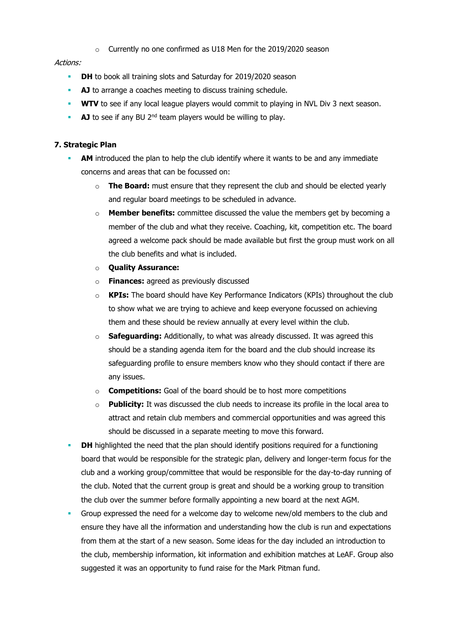o Currently no one confirmed as U18 Men for the 2019/2020 season

#### Actions:

- **DH** to book all training slots and Saturday for 2019/2020 season
- **AJ** to arrange a coaches meeting to discuss training schedule.
- **WTV** to see if any local league players would commit to playing in NVL Div 3 next season.
- **AJ** to see if any BU 2<sup>nd</sup> team players would be willing to play.

#### **7. Strategic Plan**

- **AM** introduced the plan to help the club identify where it wants to be and any immediate concerns and areas that can be focussed on:
	- o **The Board:** must ensure that they represent the club and should be elected yearly and regular board meetings to be scheduled in advance.
	- o **Member benefits:** committee discussed the value the members get by becoming a member of the club and what they receive. Coaching, kit, competition etc. The board agreed a welcome pack should be made available but first the group must work on all the club benefits and what is included.
	- o **Quality Assurance:**
	- o **Finances:** agreed as previously discussed
	- o **KPIs:** The board should have Key Performance Indicators (KPIs) throughout the club to show what we are trying to achieve and keep everyone focussed on achieving them and these should be review annually at every level within the club.
	- **Safeguarding:** Additionally, to what was already discussed. It was agreed this should be a standing agenda item for the board and the club should increase its safeguarding profile to ensure members know who they should contact if there are any issues.
	- o **Competitions:** Goal of the board should be to host more competitions
	- o **Publicity:** It was discussed the club needs to increase its profile in the local area to attract and retain club members and commercial opportunities and was agreed this should be discussed in a separate meeting to move this forward.
- **DH** highlighted the need that the plan should identify positions required for a functioning board that would be responsible for the strategic plan, delivery and longer-term focus for the club and a working group/committee that would be responsible for the day-to-day running of the club. Noted that the current group is great and should be a working group to transition the club over the summer before formally appointing a new board at the next AGM.
- Group expressed the need for a welcome day to welcome new/old members to the club and ensure they have all the information and understanding how the club is run and expectations from them at the start of a new season. Some ideas for the day included an introduction to the club, membership information, kit information and exhibition matches at LeAF. Group also suggested it was an opportunity to fund raise for the Mark Pitman fund.